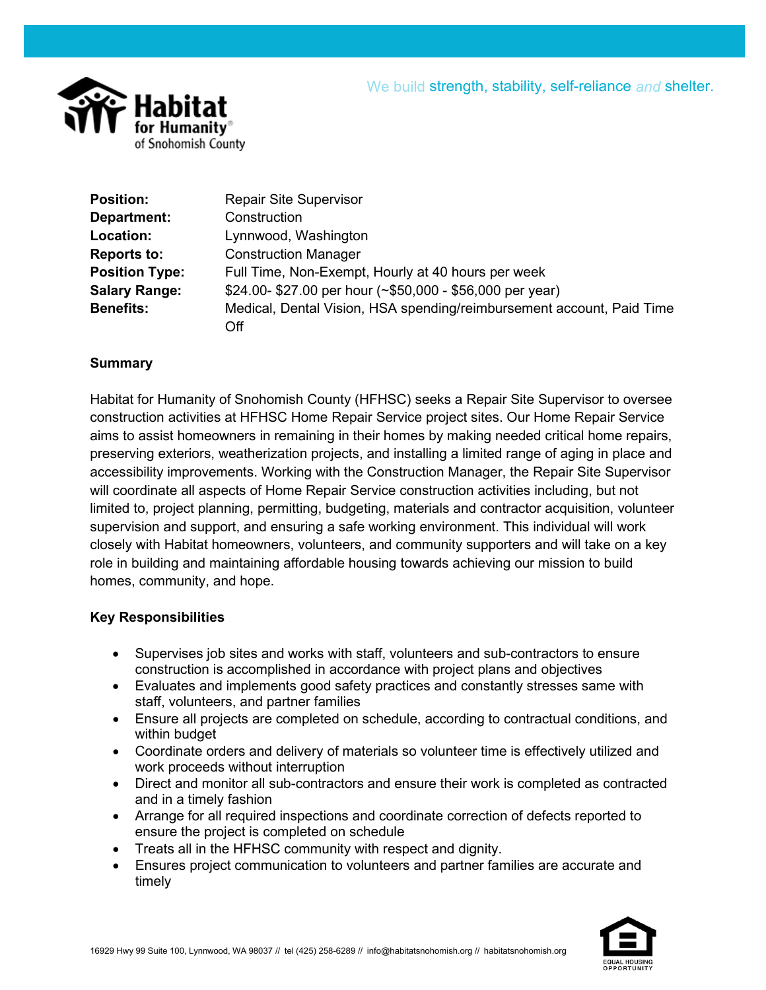

| <b>Position:</b>      | <b>Repair Site Supervisor</b>                                         |
|-----------------------|-----------------------------------------------------------------------|
| Department:           | Construction                                                          |
| Location:             | Lynnwood, Washington                                                  |
| <b>Reports to:</b>    | <b>Construction Manager</b>                                           |
| <b>Position Type:</b> | Full Time, Non-Exempt, Hourly at 40 hours per week                    |
| <b>Salary Range:</b>  | \$24.00-\$27.00 per hour (~\$50,000 - \$56,000 per year)              |
| <b>Benefits:</b>      | Medical, Dental Vision, HSA spending/reimbursement account, Paid Time |
|                       | Off                                                                   |

### **Summary**

Habitat for Humanity of Snohomish County (HFHSC) seeks a Repair Site Supervisor to oversee construction activities at HFHSC Home Repair Service project sites. Our Home Repair Service aims to assist homeowners in remaining in their homes by making needed critical home repairs, preserving exteriors, weatherization projects, and installing a limited range of aging in place and accessibility improvements. Working with the Construction Manager, the Repair Site Supervisor will coordinate all aspects of Home Repair Service construction activities including, but not limited to, project planning, permitting, budgeting, materials and contractor acquisition, volunteer supervision and support, and ensuring a safe working environment. This individual will work closely with Habitat homeowners, volunteers, and community supporters and will take on a key role in building and maintaining affordable housing towards achieving our mission to build homes, community, and hope.

#### **Key Responsibilities**

- Supervises job sites and works with staff, volunteers and sub-contractors to ensure construction is accomplished in accordance with project plans and objectives
- Evaluates and implements good safety practices and constantly stresses same with staff, volunteers, and partner families
- Ensure all projects are completed on schedule, according to contractual conditions, and within budget
- Coordinate orders and delivery of materials so volunteer time is effectively utilized and work proceeds without interruption
- Direct and monitor all sub-contractors and ensure their work is completed as contracted and in a timely fashion
- Arrange for all required inspections and coordinate correction of defects reported to ensure the project is completed on schedule
- Treats all in the HFHSC community with respect and dignity.
- Ensures project communication to volunteers and partner families are accurate and timely

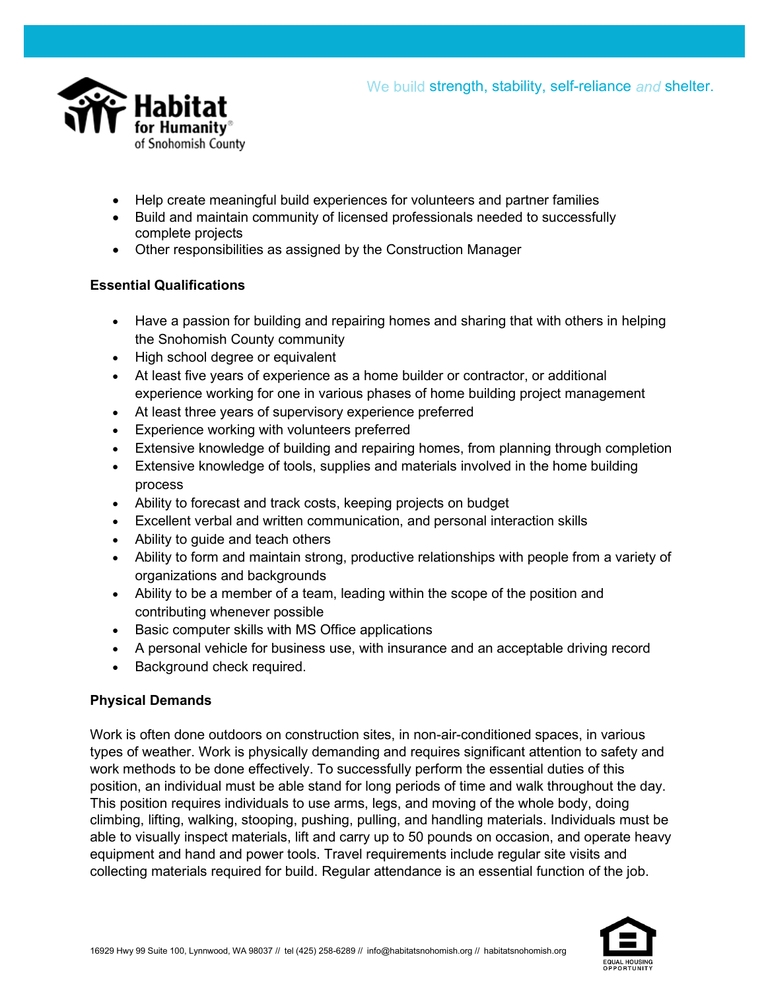



- Help create meaningful build experiences for volunteers and partner families
- Build and maintain community of licensed professionals needed to successfully complete projects
- Other responsibilities as assigned by the Construction Manager

# **Essential Qualifications**

- Have a passion for building and repairing homes and sharing that with others in helping the Snohomish County community
- High school degree or equivalent
- At least five years of experience as a home builder or contractor, or additional experience working for one in various phases of home building project management
- At least three years of supervisory experience preferred
- Experience working with volunteers preferred
- Extensive knowledge of building and repairing homes, from planning through completion
- Extensive knowledge of tools, supplies and materials involved in the home building process
- Ability to forecast and track costs, keeping projects on budget
- Excellent verbal and written communication, and personal interaction skills
- Ability to quide and teach others
- Ability to form and maintain strong, productive relationships with people from a variety of organizations and backgrounds
- Ability to be a member of a team, leading within the scope of the position and contributing whenever possible
- Basic computer skills with MS Office applications
- A personal vehicle for business use, with insurance and an acceptable driving record
- Background check required.

# **Physical Demands**

Work is often done outdoors on construction sites, in non-air-conditioned spaces, in various types of weather. Work is physically demanding and requires significant attention to safety and work methods to be done effectively. To successfully perform the essential duties of this position, an individual must be able stand for long periods of time and walk throughout the day. This position requires individuals to use arms, legs, and moving of the whole body, doing climbing, lifting, walking, stooping, pushing, pulling, and handling materials. Individuals must be able to visually inspect materials, lift and carry up to 50 pounds on occasion, and operate heavy equipment and hand and power tools. Travel requirements include regular site visits and collecting materials required for build. Regular attendance is an essential function of the job.